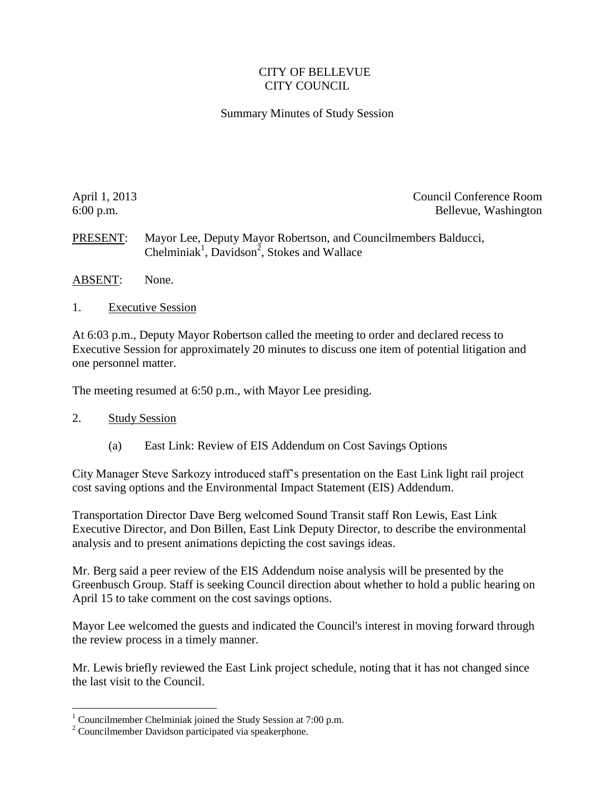## CITY OF BELLEVUE CITY COUNCIL

## Summary Minutes of Study Session

April 1, 2013 Council Conference Room 6:00 p.m. Bellevue, Washington

PRESENT: Mayor Lee, Deputy Mayor Robertson, and Councilmembers Balducci, Chelminiak<sup>1</sup>, Davidson<sup>2</sup>, Stokes and Wallace

- ABSENT: None.
- 1. Executive Session

At 6:03 p.m., Deputy Mayor Robertson called the meeting to order and declared recess to Executive Session for approximately 20 minutes to discuss one item of potential litigation and one personnel matter.

The meeting resumed at 6:50 p.m., with Mayor Lee presiding.

## 2. Study Session

 $\overline{a}$ 

(a) East Link: Review of EIS Addendum on Cost Savings Options

City Manager Steve Sarkozy introduced staff's presentation on the East Link light rail project cost saving options and the Environmental Impact Statement (EIS) Addendum.

Transportation Director Dave Berg welcomed Sound Transit staff Ron Lewis, East Link Executive Director, and Don Billen, East Link Deputy Director, to describe the environmental analysis and to present animations depicting the cost savings ideas.

Mr. Berg said a peer review of the EIS Addendum noise analysis will be presented by the Greenbusch Group. Staff is seeking Council direction about whether to hold a public hearing on April 15 to take comment on the cost savings options.

Mayor Lee welcomed the guests and indicated the Council's interest in moving forward through the review process in a timely manner.

Mr. Lewis briefly reviewed the East Link project schedule, noting that it has not changed since the last visit to the Council.

<sup>&</sup>lt;sup>1</sup> Councilmember Chelminiak joined the Study Session at  $7:00$  p.m.

<sup>&</sup>lt;sup>2</sup> Councilmember Davidson participated via speakerphone.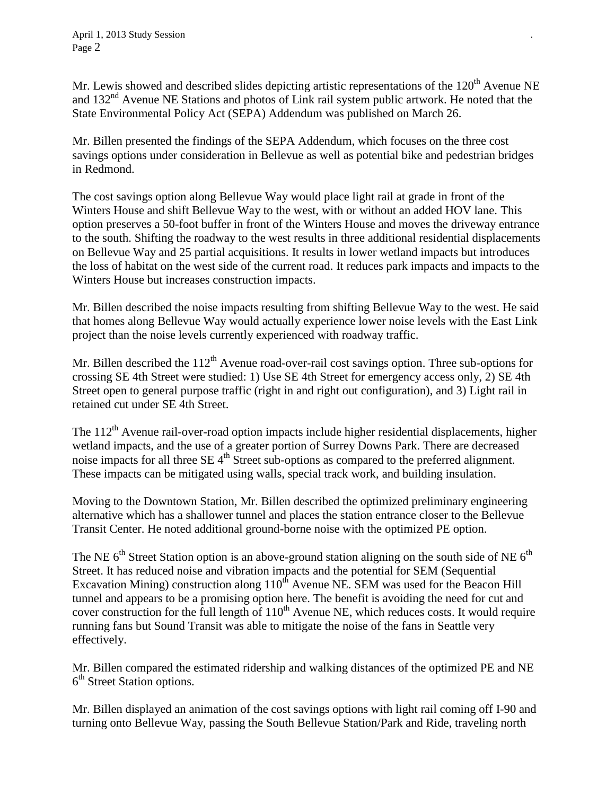Mr. Lewis showed and described slides depicting artistic representations of the  $120<sup>th</sup>$  Avenue NE and  $132<sup>nd</sup>$  Avenue NE Stations and photos of Link rail system public artwork. He noted that the State Environmental Policy Act (SEPA) Addendum was published on March 26.

Mr. Billen presented the findings of the SEPA Addendum, which focuses on the three cost savings options under consideration in Bellevue as well as potential bike and pedestrian bridges in Redmond.

The cost savings option along Bellevue Way would place light rail at grade in front of the Winters House and shift Bellevue Way to the west, with or without an added HOV lane. This option preserves a 50-foot buffer in front of the Winters House and moves the driveway entrance to the south. Shifting the roadway to the west results in three additional residential displacements on Bellevue Way and 25 partial acquisitions. It results in lower wetland impacts but introduces the loss of habitat on the west side of the current road. It reduces park impacts and impacts to the Winters House but increases construction impacts.

Mr. Billen described the noise impacts resulting from shifting Bellevue Way to the west. He said that homes along Bellevue Way would actually experience lower noise levels with the East Link project than the noise levels currently experienced with roadway traffic.

Mr. Billen described the 112<sup>th</sup> Avenue road-over-rail cost savings option. Three sub-options for crossing SE 4th Street were studied: 1) Use SE 4th Street for emergency access only, 2) SE 4th Street open to general purpose traffic (right in and right out configuration), and 3) Light rail in retained cut under SE 4th Street.

The 112<sup>th</sup> Avenue rail-over-road option impacts include higher residential displacements, higher wetland impacts, and the use of a greater portion of Surrey Downs Park. There are decreased noise impacts for all three  $SE 4<sup>th</sup>$  Street sub-options as compared to the preferred alignment. These impacts can be mitigated using walls, special track work, and building insulation.

Moving to the Downtown Station, Mr. Billen described the optimized preliminary engineering alternative which has a shallower tunnel and places the station entrance closer to the Bellevue Transit Center. He noted additional ground-borne noise with the optimized PE option.

The NE  $6<sup>th</sup>$  Street Station option is an above-ground station aligning on the south side of NE  $6<sup>th</sup>$ Street. It has reduced noise and vibration impacts and the potential for SEM (Sequential Excavation Mining) construction along  $110^{th}$  Avenue NE. SEM was used for the Beacon Hill tunnel and appears to be a promising option here. The benefit is avoiding the need for cut and cover construction for the full length of  $110<sup>th</sup>$  Avenue NE, which reduces costs. It would require running fans but Sound Transit was able to mitigate the noise of the fans in Seattle very effectively.

Mr. Billen compared the estimated ridership and walking distances of the optimized PE and NE 6<sup>th</sup> Street Station options.

Mr. Billen displayed an animation of the cost savings options with light rail coming off I-90 and turning onto Bellevue Way, passing the South Bellevue Station/Park and Ride, traveling north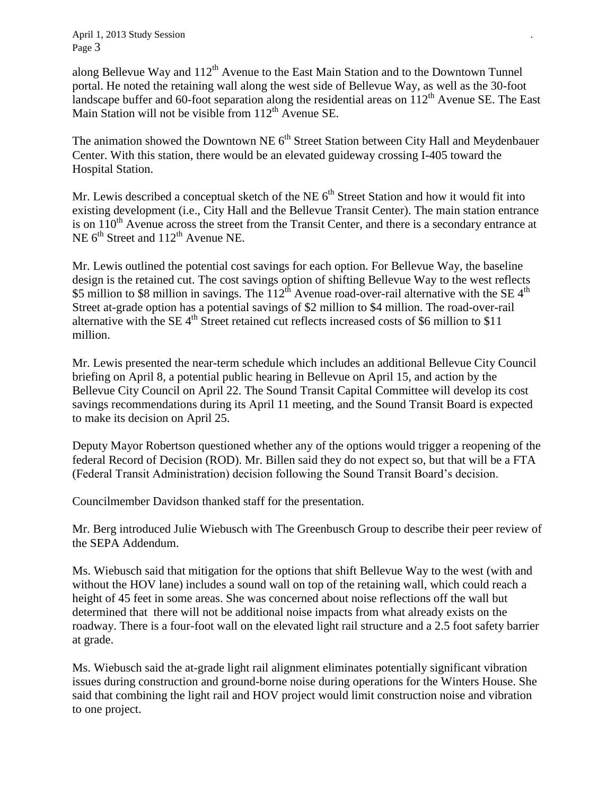April 1, 2013 Study Session *.* Page 3

along Bellevue Way and  $112<sup>th</sup>$  Avenue to the East Main Station and to the Downtown Tunnel portal. He noted the retaining wall along the west side of Bellevue Way, as well as the 30-foot landscape buffer and 60-foot separation along the residential areas on  $112<sup>th</sup>$  Avenue SE. The East Main Station will not be visible from  $112<sup>th</sup>$  Avenue SE.

The animation showed the Downtown NE  $6<sup>th</sup>$  Street Station between City Hall and Meydenbauer Center. With this station, there would be an elevated guideway crossing I-405 toward the Hospital Station.

Mr. Lewis described a conceptual sketch of the NE  $6<sup>th</sup>$  Street Station and how it would fit into existing development (i.e., City Hall and the Bellevue Transit Center). The main station entrance is on  $110<sup>th</sup>$  Avenue across the street from the Transit Center, and there is a secondary entrance at NE  $6<sup>th</sup>$  Street and  $112<sup>th</sup>$  Avenue NE.

Mr. Lewis outlined the potential cost savings for each option. For Bellevue Way, the baseline design is the retained cut. The cost savings option of shifting Bellevue Way to the west reflects \$5 million to \$8 million in savings. The  $112<sup>th</sup>$  Avenue road-over-rail alternative with the SE 4<sup>th</sup> Street at-grade option has a potential savings of \$2 million to \$4 million. The road-over-rail alternative with the SE  $4<sup>th</sup>$  Street retained cut reflects increased costs of \$6 million to \$11 million.

Mr. Lewis presented the near-term schedule which includes an additional Bellevue City Council briefing on April 8, a potential public hearing in Bellevue on April 15, and action by the Bellevue City Council on April 22. The Sound Transit Capital Committee will develop its cost savings recommendations during its April 11 meeting, and the Sound Transit Board is expected to make its decision on April 25.

Deputy Mayor Robertson questioned whether any of the options would trigger a reopening of the federal Record of Decision (ROD). Mr. Billen said they do not expect so, but that will be a FTA (Federal Transit Administration) decision following the Sound Transit Board's decision.

Councilmember Davidson thanked staff for the presentation.

Mr. Berg introduced Julie Wiebusch with The Greenbusch Group to describe their peer review of the SEPA Addendum.

Ms. Wiebusch said that mitigation for the options that shift Bellevue Way to the west (with and without the HOV lane) includes a sound wall on top of the retaining wall, which could reach a height of 45 feet in some areas. She was concerned about noise reflections off the wall but determined that there will not be additional noise impacts from what already exists on the roadway. There is a four-foot wall on the elevated light rail structure and a 2.5 foot safety barrier at grade.

Ms. Wiebusch said the at-grade light rail alignment eliminates potentially significant vibration issues during construction and ground-borne noise during operations for the Winters House. She said that combining the light rail and HOV project would limit construction noise and vibration to one project.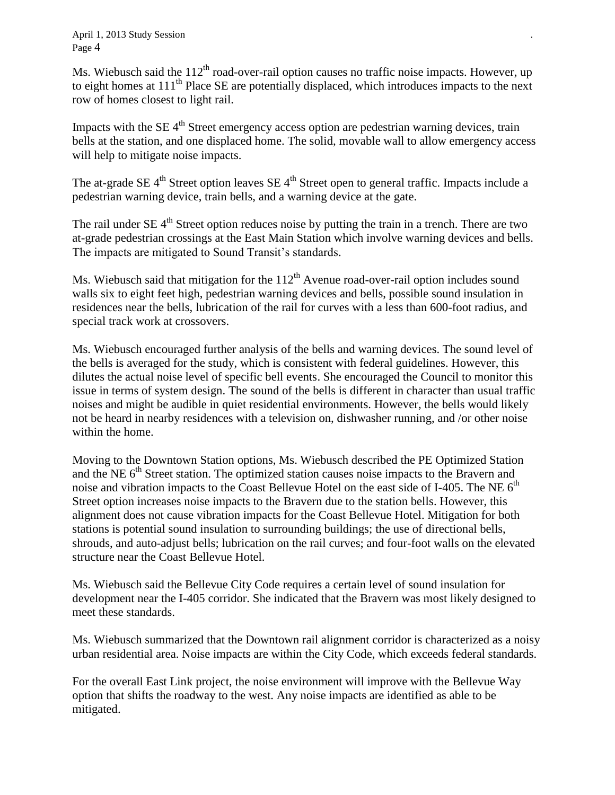Ms. Wiebusch said the  $112<sup>th</sup>$  road-over-rail option causes no traffic noise impacts. However, up to eight homes at 111<sup>th</sup> Place SE are potentially displaced, which introduces impacts to the next row of homes closest to light rail.

Impacts with the SE  $4<sup>th</sup>$  Street emergency access option are pedestrian warning devices, train bells at the station, and one displaced home. The solid, movable wall to allow emergency access will help to mitigate noise impacts.

The at-grade SE  $4<sup>th</sup>$  Street option leaves SE  $4<sup>th</sup>$  Street open to general traffic. Impacts include a pedestrian warning device, train bells, and a warning device at the gate.

The rail under  $SE$  4<sup>th</sup> Street option reduces noise by putting the train in a trench. There are two at-grade pedestrian crossings at the East Main Station which involve warning devices and bells. The impacts are mitigated to Sound Transit's standards.

Ms. Wiebusch said that mitigation for the  $112<sup>th</sup>$  Avenue road-over-rail option includes sound walls six to eight feet high, pedestrian warning devices and bells, possible sound insulation in residences near the bells, lubrication of the rail for curves with a less than 600-foot radius, and special track work at crossovers.

Ms. Wiebusch encouraged further analysis of the bells and warning devices. The sound level of the bells is averaged for the study, which is consistent with federal guidelines. However, this dilutes the actual noise level of specific bell events. She encouraged the Council to monitor this issue in terms of system design. The sound of the bells is different in character than usual traffic noises and might be audible in quiet residential environments. However, the bells would likely not be heard in nearby residences with a television on, dishwasher running, and /or other noise within the home.

Moving to the Downtown Station options, Ms. Wiebusch described the PE Optimized Station and the NE  $6<sup>th</sup>$  Street station. The optimized station causes noise impacts to the Bravern and noise and vibration impacts to the Coast Bellevue Hotel on the east side of I-405. The NE  $6<sup>th</sup>$ Street option increases noise impacts to the Bravern due to the station bells. However, this alignment does not cause vibration impacts for the Coast Bellevue Hotel. Mitigation for both stations is potential sound insulation to surrounding buildings; the use of directional bells, shrouds, and auto-adjust bells; lubrication on the rail curves; and four-foot walls on the elevated structure near the Coast Bellevue Hotel.

Ms. Wiebusch said the Bellevue City Code requires a certain level of sound insulation for development near the I-405 corridor. She indicated that the Bravern was most likely designed to meet these standards.

Ms. Wiebusch summarized that the Downtown rail alignment corridor is characterized as a noisy urban residential area. Noise impacts are within the City Code, which exceeds federal standards.

For the overall East Link project, the noise environment will improve with the Bellevue Way option that shifts the roadway to the west. Any noise impacts are identified as able to be mitigated.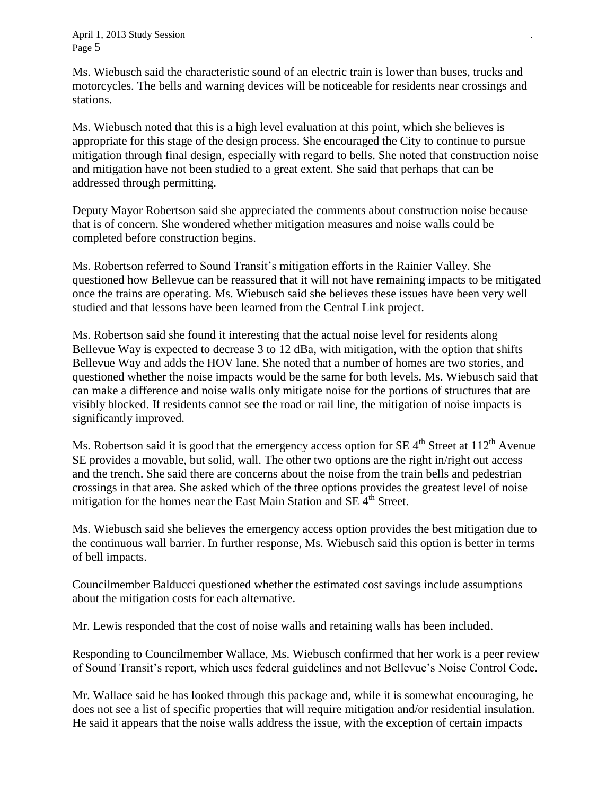April 1, 2013 Study Session *.* Page 5

Ms. Wiebusch said the characteristic sound of an electric train is lower than buses, trucks and motorcycles. The bells and warning devices will be noticeable for residents near crossings and stations.

Ms. Wiebusch noted that this is a high level evaluation at this point, which she believes is appropriate for this stage of the design process. She encouraged the City to continue to pursue mitigation through final design, especially with regard to bells. She noted that construction noise and mitigation have not been studied to a great extent. She said that perhaps that can be addressed through permitting.

Deputy Mayor Robertson said she appreciated the comments about construction noise because that is of concern. She wondered whether mitigation measures and noise walls could be completed before construction begins.

Ms. Robertson referred to Sound Transit's mitigation efforts in the Rainier Valley. She questioned how Bellevue can be reassured that it will not have remaining impacts to be mitigated once the trains are operating. Ms. Wiebusch said she believes these issues have been very well studied and that lessons have been learned from the Central Link project.

Ms. Robertson said she found it interesting that the actual noise level for residents along Bellevue Way is expected to decrease 3 to 12 dBa, with mitigation, with the option that shifts Bellevue Way and adds the HOV lane. She noted that a number of homes are two stories, and questioned whether the noise impacts would be the same for both levels. Ms. Wiebusch said that can make a difference and noise walls only mitigate noise for the portions of structures that are visibly blocked. If residents cannot see the road or rail line, the mitigation of noise impacts is significantly improved.

Ms. Robertson said it is good that the emergency access option for SE  $4<sup>th</sup>$  Street at 112<sup>th</sup> Avenue SE provides a movable, but solid, wall. The other two options are the right in/right out access and the trench. She said there are concerns about the noise from the train bells and pedestrian crossings in that area. She asked which of the three options provides the greatest level of noise mitigation for the homes near the East Main Station and SE  $4<sup>th</sup>$  Street.

Ms. Wiebusch said she believes the emergency access option provides the best mitigation due to the continuous wall barrier. In further response, Ms. Wiebusch said this option is better in terms of bell impacts.

Councilmember Balducci questioned whether the estimated cost savings include assumptions about the mitigation costs for each alternative.

Mr. Lewis responded that the cost of noise walls and retaining walls has been included.

Responding to Councilmember Wallace, Ms. Wiebusch confirmed that her work is a peer review of Sound Transit's report, which uses federal guidelines and not Bellevue's Noise Control Code.

Mr. Wallace said he has looked through this package and, while it is somewhat encouraging, he does not see a list of specific properties that will require mitigation and/or residential insulation. He said it appears that the noise walls address the issue, with the exception of certain impacts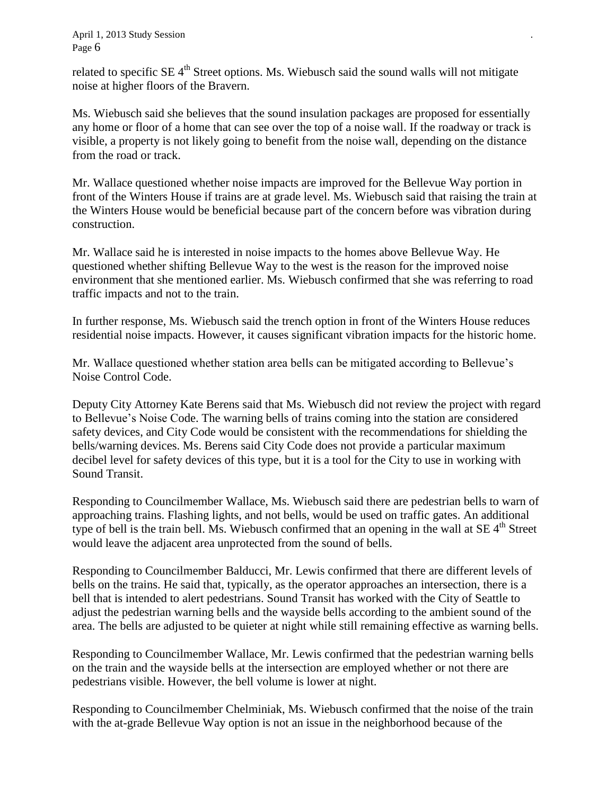related to specific  $SE$  4<sup>th</sup> Street options. Ms. Wiebusch said the sound walls will not mitigate noise at higher floors of the Bravern.

Ms. Wiebusch said she believes that the sound insulation packages are proposed for essentially any home or floor of a home that can see over the top of a noise wall. If the roadway or track is visible, a property is not likely going to benefit from the noise wall, depending on the distance from the road or track.

Mr. Wallace questioned whether noise impacts are improved for the Bellevue Way portion in front of the Winters House if trains are at grade level. Ms. Wiebusch said that raising the train at the Winters House would be beneficial because part of the concern before was vibration during construction.

Mr. Wallace said he is interested in noise impacts to the homes above Bellevue Way. He questioned whether shifting Bellevue Way to the west is the reason for the improved noise environment that she mentioned earlier. Ms. Wiebusch confirmed that she was referring to road traffic impacts and not to the train.

In further response, Ms. Wiebusch said the trench option in front of the Winters House reduces residential noise impacts. However, it causes significant vibration impacts for the historic home.

Mr. Wallace questioned whether station area bells can be mitigated according to Bellevue's Noise Control Code.

Deputy City Attorney Kate Berens said that Ms. Wiebusch did not review the project with regard to Bellevue's Noise Code. The warning bells of trains coming into the station are considered safety devices, and City Code would be consistent with the recommendations for shielding the bells/warning devices. Ms. Berens said City Code does not provide a particular maximum decibel level for safety devices of this type, but it is a tool for the City to use in working with Sound Transit.

Responding to Councilmember Wallace, Ms. Wiebusch said there are pedestrian bells to warn of approaching trains. Flashing lights, and not bells, would be used on traffic gates. An additional type of bell is the train bell. Ms. Wiebusch confirmed that an opening in the wall at SE 4<sup>th</sup> Street would leave the adjacent area unprotected from the sound of bells.

Responding to Councilmember Balducci, Mr. Lewis confirmed that there are different levels of bells on the trains. He said that, typically, as the operator approaches an intersection, there is a bell that is intended to alert pedestrians. Sound Transit has worked with the City of Seattle to adjust the pedestrian warning bells and the wayside bells according to the ambient sound of the area. The bells are adjusted to be quieter at night while still remaining effective as warning bells.

Responding to Councilmember Wallace, Mr. Lewis confirmed that the pedestrian warning bells on the train and the wayside bells at the intersection are employed whether or not there are pedestrians visible. However, the bell volume is lower at night.

Responding to Councilmember Chelminiak, Ms. Wiebusch confirmed that the noise of the train with the at-grade Bellevue Way option is not an issue in the neighborhood because of the